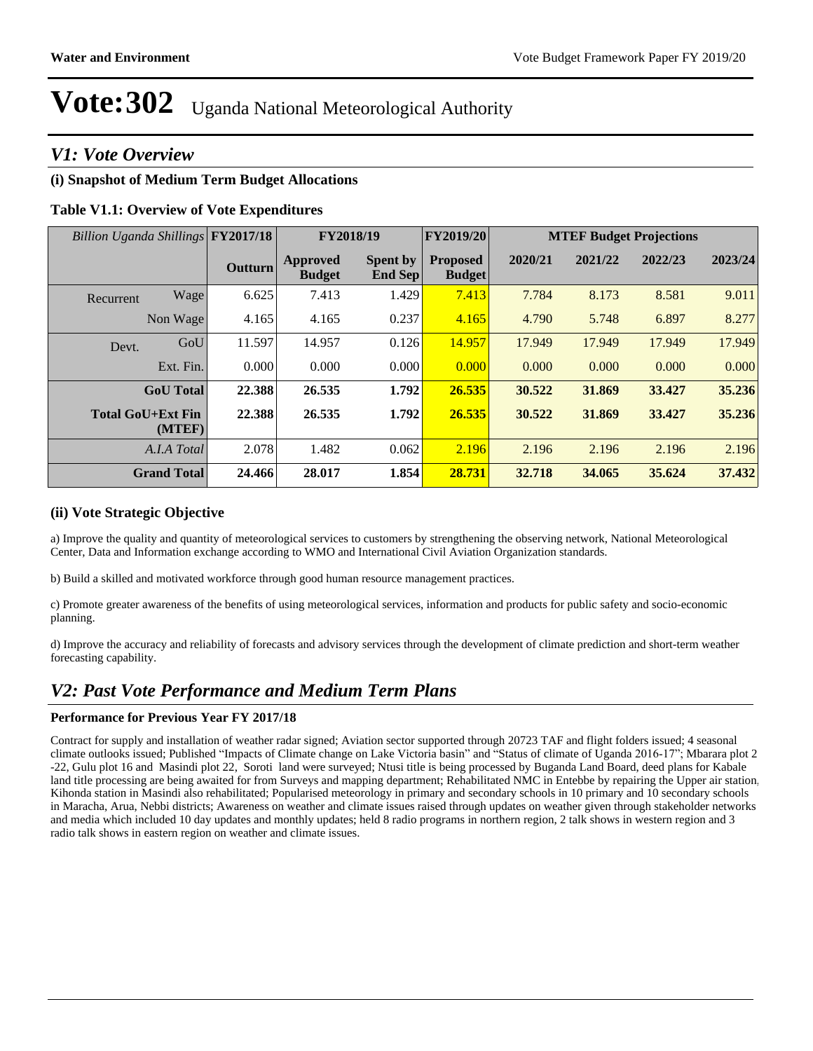#### *V1: Vote Overview*

#### **(i) Snapshot of Medium Term Budget Allocations**

#### **Table V1.1: Overview of Vote Expenditures**

| Billion Uganda Shillings FY2017/18 |                    |                | FY2018/19                 |                                   | FY2019/20                        |         | <b>MTEF Budget Projections</b> |         |         |
|------------------------------------|--------------------|----------------|---------------------------|-----------------------------------|----------------------------------|---------|--------------------------------|---------|---------|
|                                    |                    | <b>Outturn</b> | Approved<br><b>Budget</b> | <b>Spent by</b><br><b>End Sep</b> | <b>Proposed</b><br><b>Budget</b> | 2020/21 | 2021/22                        | 2022/23 | 2023/24 |
| Recurrent                          | Wage               | 6.625          | 7.413                     | 1.429                             | 7.413                            | 7.784   | 8.173                          | 8.581   | 9.011   |
|                                    | Non Wage           | 4.165          | 4.165                     | 0.237                             | 4.165                            | 4.790   | 5.748                          | 6.897   | 8.277   |
| Devt.                              | GoU                | 11.597         | 14.957                    | 0.126                             | 14.957                           | 17.949  | 17.949                         | 17.949  | 17.949  |
|                                    | Ext. Fin.          | 0.000          | 0.000                     | 0.000                             | 0.000                            | 0.000   | 0.000                          | 0.000   | 0.000   |
|                                    | <b>GoU</b> Total   | 22.388         | 26.535                    | 1.792                             | 26.535                           | 30.522  | 31.869                         | 33.427  | 35.236  |
| <b>Total GoU+Ext Fin</b>           | (MTEF)             | 22.388         | 26.535                    | 1.792                             | 26.535                           | 30.522  | 31.869                         | 33.427  | 35.236  |
|                                    | A.I.A Total        | 2.078          | 1.482                     | 0.062                             | 2.196                            | 2.196   | 2.196                          | 2.196   | 2.196   |
|                                    | <b>Grand Total</b> | 24.466         | 28.017                    | 1.854                             | 28.731                           | 32.718  | 34.065                         | 35.624  | 37.432  |

#### **(ii) Vote Strategic Objective**

a) Improve the quality and quantity of meteorological services to customers by strengthening the observing network, National Meteorological Center, Data and Information exchange according to WMO and International Civil Aviation Organization standards.

b) Build a skilled and motivated workforce through good human resource management practices.

c) Promote greater awareness of the benefits of using meteorological services, information and products for public safety and socio-economic planning.

d) Improve the accuracy and reliability of forecasts and advisory services through the development of climate prediction and short-term weather forecasting capability.

#### *V2: Past Vote Performance and Medium Term Plans*

#### **Performance for Previous Year FY 2017/18**

Contract for supply and installation of weather radar signed; Aviation sector supported through 20723 TAF and flight folders issued; 4 seasonal climate outlooks issued; Published "Impacts of Climate change on Lake Victoria basin" and "Status of climate of Uganda 2016-17"; Mbarara plot 2 -22, Gulu plot 16 and Masindi plot 22, Soroti land were surveyed; Ntusi title is being processed by Buganda Land Board, deed plans for Kabale land title processing are being awaited for from Surveys and mapping department; Rehabilitated NMC in Entebbe by repairing the Upper air station, Kihonda station in Masindi also rehabilitated; Popularised meteorology in primary and secondary schools in 10 primary and 10 secondary schools in Maracha, Arua, Nebbi districts; Awareness on weather and climate issues raised through updates on weather given through stakeholder networks and media which included 10 day updates and monthly updates; held 8 radio programs in northern region, 2 talk shows in western region and 3 radio talk shows in eastern region on weather and climate issues.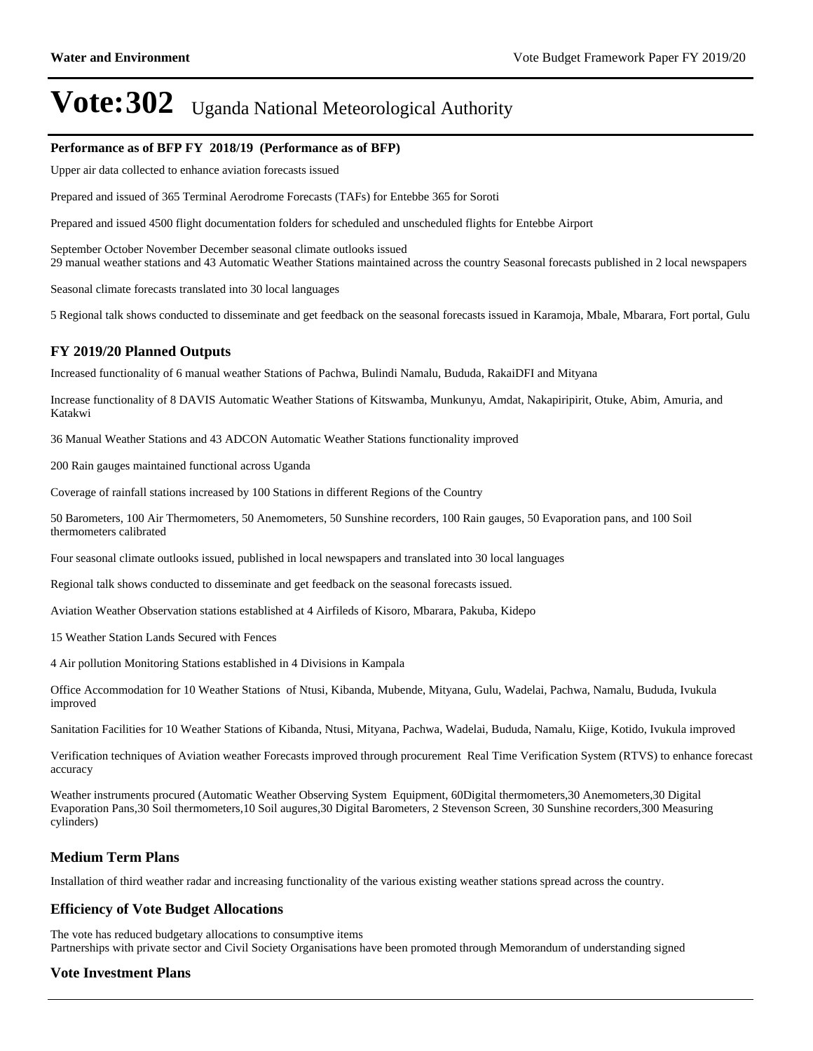#### **Performance as of BFP FY 2018/19 (Performance as of BFP)**

Upper air data collected to enhance aviation forecasts issued

Prepared and issued of 365 Terminal Aerodrome Forecasts (TAFs) for Entebbe 365 for Soroti

Prepared and issued 4500 flight documentation folders for scheduled and unscheduled flights for Entebbe Airport

September October November December seasonal climate outlooks issued 29 manual weather stations and 43 Automatic Weather Stations maintained across the country Seasonal forecasts published in 2 local newspapers

Seasonal climate forecasts translated into 30 local languages

5 Regional talk shows conducted to disseminate and get feedback on the seasonal forecasts issued in Karamoja, Mbale, Mbarara, Fort portal, Gulu

#### **FY 2019/20 Planned Outputs**

Increased functionality of 6 manual weather Stations of Pachwa, Bulindi Namalu, Bududa, RakaiDFI and Mityana

Increase functionality of 8 DAVIS Automatic Weather Stations of Kitswamba, Munkunyu, Amdat, Nakapiripirit, Otuke, Abim, Amuria, and Katakwi

36 Manual Weather Stations and 43 ADCON Automatic Weather Stations functionality improved

200 Rain gauges maintained functional across Uganda

Coverage of rainfall stations increased by 100 Stations in different Regions of the Country

50 Barometers, 100 Air Thermometers, 50 Anemometers, 50 Sunshine recorders, 100 Rain gauges, 50 Evaporation pans, and 100 Soil thermometers calibrated

Four seasonal climate outlooks issued, published in local newspapers and translated into 30 local languages

Regional talk shows conducted to disseminate and get feedback on the seasonal forecasts issued.

Aviation Weather Observation stations established at 4 Airfileds of Kisoro, Mbarara, Pakuba, Kidepo

15 Weather Station Lands Secured with Fences

4 Air pollution Monitoring Stations established in 4 Divisions in Kampala

Office Accommodation for 10 Weather Stations of Ntusi, Kibanda, Mubende, Mityana, Gulu, Wadelai, Pachwa, Namalu, Bududa, Ivukula improved

Sanitation Facilities for 10 Weather Stations of Kibanda, Ntusi, Mityana, Pachwa, Wadelai, Bududa, Namalu, Kiige, Kotido, Ivukula improved

Verification techniques of Aviation weather Forecasts improved through procurement Real Time Verification System (RTVS) to enhance forecast accuracy

Weather instruments procured (Automatic Weather Observing System Equipment, 60Digital thermometers,30 Anemometers,30 Digital Evaporation Pans,30 Soil thermometers,10 Soil augures,30 Digital Barometers, 2 Stevenson Screen, 30 Sunshine recorders,300 Measuring cylinders)

#### **Medium Term Plans**

Installation of third weather radar and increasing functionality of the various existing weather stations spread across the country.

#### **Efficiency of Vote Budget Allocations**

The vote has reduced budgetary allocations to consumptive items Partnerships with private sector and Civil Society Organisations have been promoted through Memorandum of understanding signed

#### **Vote Investment Plans**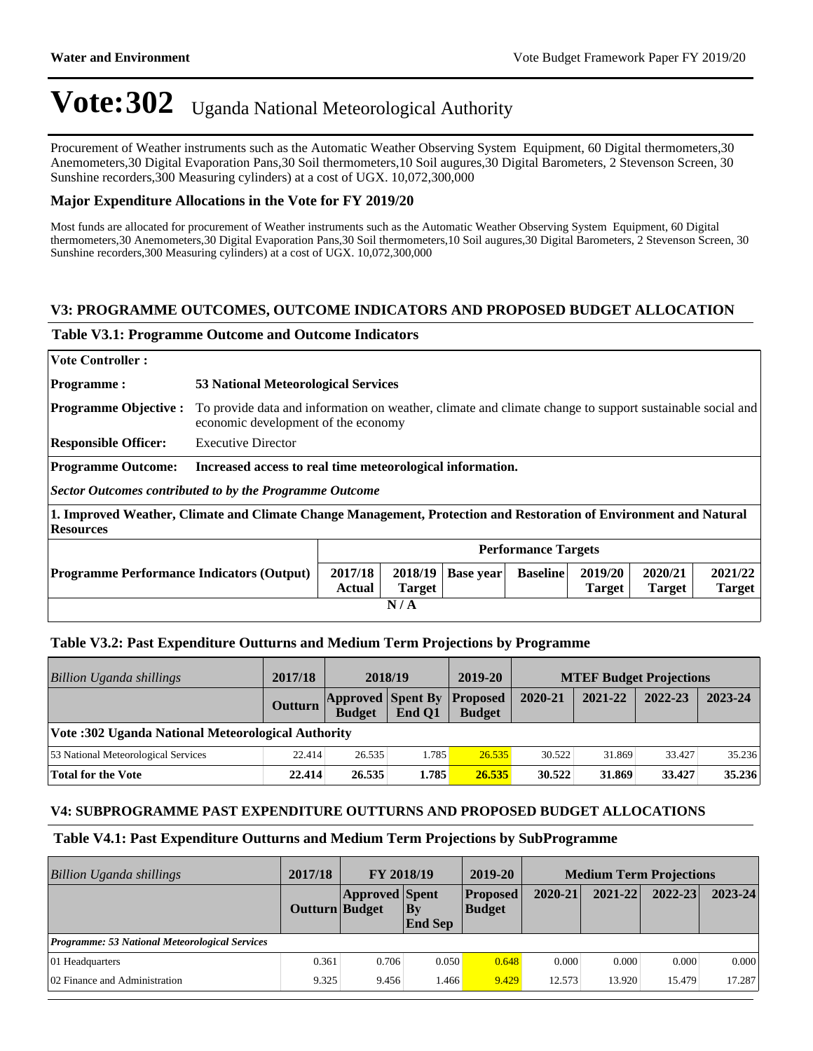Procurement of Weather instruments such as the Automatic Weather Observing System Equipment, 60 Digital thermometers,30 Anemometers,30 Digital Evaporation Pans,30 Soil thermometers,10 Soil augures,30 Digital Barometers, 2 Stevenson Screen, 30 Sunshine recorders,300 Measuring cylinders) at a cost of UGX. 10,072,300,000

#### **Major Expenditure Allocations in the Vote for FY 2019/20**

Most funds are allocated for procurement of Weather instruments such as the Automatic Weather Observing System Equipment, 60 Digital thermometers,30 Anemometers,30 Digital Evaporation Pans,30 Soil thermometers,10 Soil augures,30 Digital Barometers, 2 Stevenson Screen, 30 Sunshine recorders,300 Measuring cylinders) at a cost of UGX. 10,072,300,000

#### **V3: PROGRAMME OUTCOMES, OUTCOME INDICATORS AND PROPOSED BUDGET ALLOCATION**

#### **Table V3.1: Programme Outcome and Outcome Indicators**

| <b>Vote Controller:</b>                                                                                                               |                                                           |                                                                                                                                                 |                          |                  |                 |                          |                          |                          |
|---------------------------------------------------------------------------------------------------------------------------------------|-----------------------------------------------------------|-------------------------------------------------------------------------------------------------------------------------------------------------|--------------------------|------------------|-----------------|--------------------------|--------------------------|--------------------------|
| <b>Programme:</b>                                                                                                                     |                                                           | 53 National Meteorological Services                                                                                                             |                          |                  |                 |                          |                          |                          |
| <b>Programme Objective:</b>                                                                                                           |                                                           | To provide data and information on weather, climate and climate change to support sustainable social and<br>economic development of the economy |                          |                  |                 |                          |                          |                          |
| <b>Responsible Officer:</b>                                                                                                           | <b>Executive Director</b>                                 |                                                                                                                                                 |                          |                  |                 |                          |                          |                          |
| <b>Programme Outcome:</b>                                                                                                             | Increased access to real time meteorological information. |                                                                                                                                                 |                          |                  |                 |                          |                          |                          |
| Sector Outcomes contributed to by the Programme Outcome                                                                               |                                                           |                                                                                                                                                 |                          |                  |                 |                          |                          |                          |
| 1. Improved Weather, Climate and Climate Change Management, Protection and Restoration of Environment and Natural<br><b>Resources</b> |                                                           |                                                                                                                                                 |                          |                  |                 |                          |                          |                          |
|                                                                                                                                       | <b>Performance Targets</b>                                |                                                                                                                                                 |                          |                  |                 |                          |                          |                          |
| <b>Programme Performance Indicators (Output)</b>                                                                                      |                                                           | 2017/18<br>Actual                                                                                                                               | 2018/19<br><b>Target</b> | <b>Base year</b> | <b>Baseline</b> | 2019/20<br><b>Target</b> | 2020/21<br><b>Target</b> | 2021/22<br><b>Target</b> |
| N/A                                                                                                                                   |                                                           |                                                                                                                                                 |                          |                  |                 |                          |                          |                          |

#### **Table V3.2: Past Expenditure Outturns and Medium Term Projections by Programme**

| Billion Uganda shillings                           | 2017/18 |               | 2018/19                                     | 2019-20       |         | <b>MTEF Budget Projections</b> |         |         |
|----------------------------------------------------|---------|---------------|---------------------------------------------|---------------|---------|--------------------------------|---------|---------|
|                                                    | Outturn | <b>Budget</b> | <b>Approved Spent By Proposed</b><br>End O1 | <b>Budget</b> | 2020-21 | 2021-22                        | 2022-23 | 2023-24 |
| Vote: 302 Uganda National Meteorological Authority |         |               |                                             |               |         |                                |         |         |
| 53 National Meteorological Services                | 22.414  | 26.535        | 1.785                                       | 26.535        | 30.522  | 31.869                         | 33.427  | 35.236  |
| <b>Total for the Vote</b>                          | 22.414  | 26.535        | 1.785                                       | 26.535        | 30.522  | 31.869                         | 33.427  | 35.236  |

#### **V4: SUBPROGRAMME PAST EXPENDITURE OUTTURNS AND PROPOSED BUDGET ALLOCATIONS**

#### **Table V4.1: Past Expenditure Outturns and Medium Term Projections by SubProgramme**

| Billion Uganda shillings                              | 2017/18        | FY 2018/19            |                      | 2019-20                          |         | <b>Medium Term Projections</b> |             |             |
|-------------------------------------------------------|----------------|-----------------------|----------------------|----------------------------------|---------|--------------------------------|-------------|-------------|
|                                                       | Outturn Budget | <b>Approved Spent</b> | By<br><b>End Sep</b> | <b>Proposed</b><br><b>Budget</b> | 2020-21 | $2021 - 22$                    | $2022 - 23$ | $2023 - 24$ |
| <b>Programme: 53 National Meteorological Services</b> |                |                       |                      |                                  |         |                                |             |             |
| 01 Headquarters                                       | 0.361          | 0.706                 | 0.050                | 0.648                            | 0.000   | 0.000                          | 0.000       | 0.000       |
| 02 Finance and Administration                         | 9.325          | 9.456                 | 1.466                | 9.429                            | 12.573  | 13.920                         | 15.479      | 17.287      |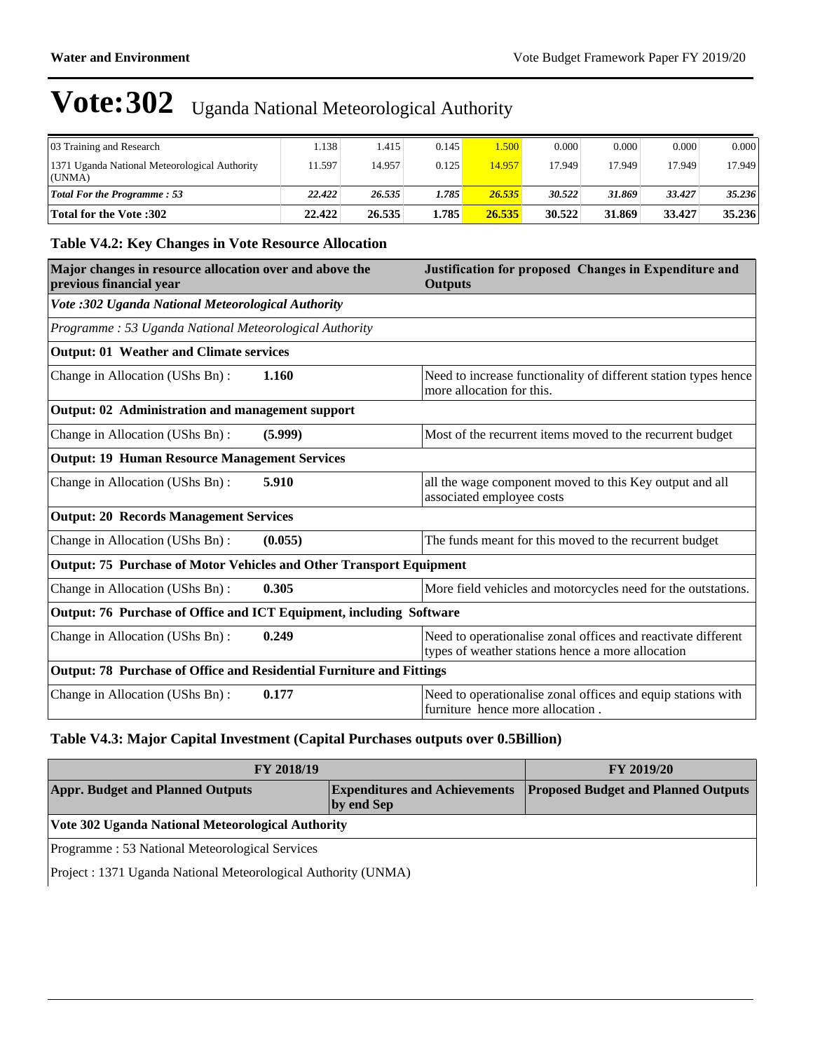| 03 Training and Research                                | . 138  | . 415  | 0.145 | 1.500  | 0.000  | 0.000  | 0.000  | 0.000  |
|---------------------------------------------------------|--------|--------|-------|--------|--------|--------|--------|--------|
| 1371 Uganda National Meteorological Authority<br>(UNMA) | 1.597  | 14.957 | 0.125 | 14.957 | 17.949 | 17.949 | 17.949 | 17.949 |
| <b>Total For the Programme: 53</b>                      | 22.422 | 26.535 | 1.785 | 26.535 | 30.522 | 31.869 | 33.427 | 35.236 |
| <b>Total for the Vote :302</b>                          | 22.422 | 26.535 | 1.785 | 26.535 | 30.522 | 31.869 | 33.427 | 35.236 |

#### **Table V4.2: Key Changes in Vote Resource Allocation**

| Major changes in resource allocation over and above the<br>previous financial year |                                                        | Justification for proposed Changes in Expenditure and<br><b>Outputs</b>                                            |  |  |  |  |  |
|------------------------------------------------------------------------------------|--------------------------------------------------------|--------------------------------------------------------------------------------------------------------------------|--|--|--|--|--|
| Vote :302 Uganda National Meteorological Authority                                 |                                                        |                                                                                                                    |  |  |  |  |  |
|                                                                                    | Programme: 53 Uganda National Meteorological Authority |                                                                                                                    |  |  |  |  |  |
| <b>Output: 01 Weather and Climate services</b>                                     |                                                        |                                                                                                                    |  |  |  |  |  |
| Change in Allocation (UShs Bn):                                                    | 1.160                                                  | Need to increase functionality of different station types hence<br>more allocation for this.                       |  |  |  |  |  |
| Output: 02 Administration and management support                                   |                                                        |                                                                                                                    |  |  |  |  |  |
| Change in Allocation (UShs Bn):                                                    | (5.999)                                                | Most of the recurrent items moved to the recurrent budget                                                          |  |  |  |  |  |
| <b>Output: 19 Human Resource Management Services</b>                               |                                                        |                                                                                                                    |  |  |  |  |  |
| Change in Allocation (UShs Bn):                                                    | 5.910                                                  | all the wage component moved to this Key output and all<br>associated employee costs                               |  |  |  |  |  |
| <b>Output: 20 Records Management Services</b>                                      |                                                        |                                                                                                                    |  |  |  |  |  |
| Change in Allocation (UShs Bn):                                                    | (0.055)                                                | The funds meant for this moved to the recurrent budget                                                             |  |  |  |  |  |
| Output: 75 Purchase of Motor Vehicles and Other Transport Equipment                |                                                        |                                                                                                                    |  |  |  |  |  |
| Change in Allocation (UShs Bn):                                                    | 0.305                                                  | More field vehicles and motorcycles need for the outstations.                                                      |  |  |  |  |  |
| Output: 76 Purchase of Office and ICT Equipment, including Software                |                                                        |                                                                                                                    |  |  |  |  |  |
| Change in Allocation (UShs Bn):                                                    | 0.249                                                  | Need to operationalise zonal offices and reactivate different<br>types of weather stations hence a more allocation |  |  |  |  |  |
| Output: 78 Purchase of Office and Residential Furniture and Fittings               |                                                        |                                                                                                                    |  |  |  |  |  |
| Change in Allocation (UShs Bn):                                                    | 0.177                                                  | Need to operationalise zonal offices and equip stations with<br>furniture hence more allocation.                   |  |  |  |  |  |

#### **Table V4.3: Major Capital Investment (Capital Purchases outputs over 0.5Billion)**

| <b>FY 2018/19</b>                                     | <b>FY 2019/20</b>                                                        |  |  |  |  |
|-------------------------------------------------------|--------------------------------------------------------------------------|--|--|--|--|
| <b>Appr. Budget and Planned Outputs</b><br>by end Sep | <b>Expenditures and Achievements Proposed Budget and Planned Outputs</b> |  |  |  |  |
| Vote 302 Uganda National Meteorological Authority     |                                                                          |  |  |  |  |
| Programme: 53 National Meteorological Services        |                                                                          |  |  |  |  |

Project : 1371 Uganda National Meteorological Authority (UNMA)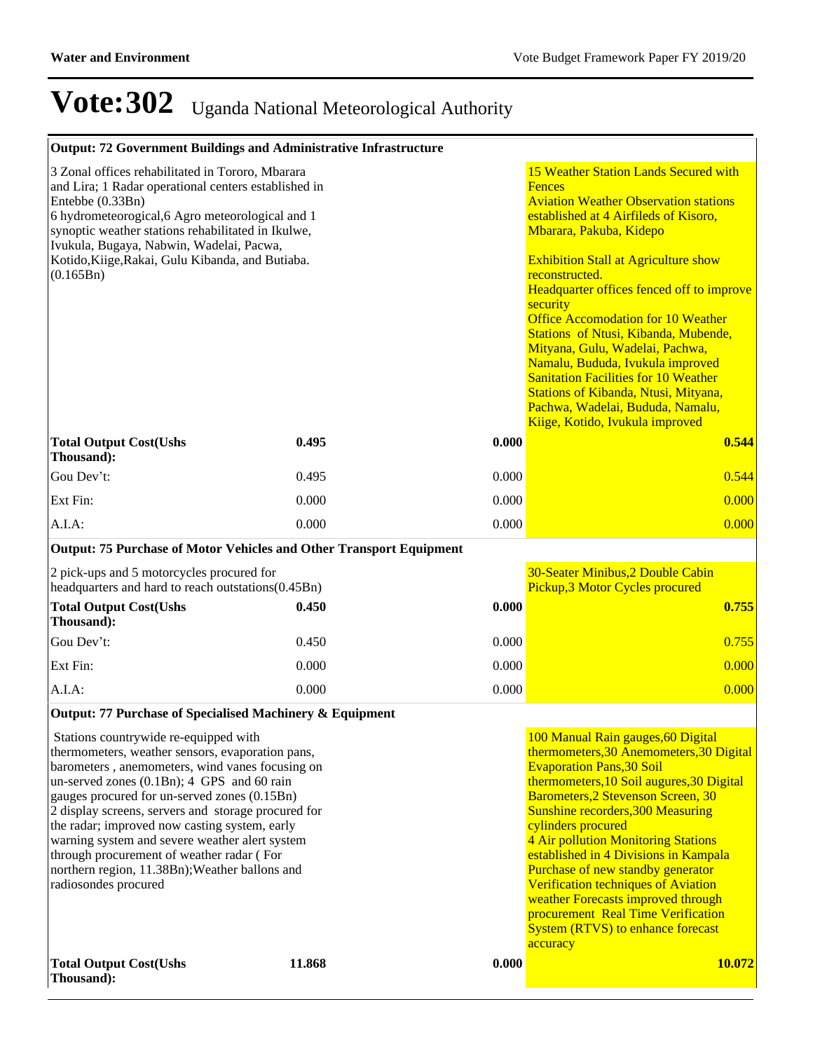| Output: 72 Government Buildings and Administrative Infrastructure                                                                                                                                                                                                                                                                                                                                                                                                                                                           |        |       |                                                                                                                                                                                                                                                                                                                                                                                                                                                                                                                                                                                                                                |
|-----------------------------------------------------------------------------------------------------------------------------------------------------------------------------------------------------------------------------------------------------------------------------------------------------------------------------------------------------------------------------------------------------------------------------------------------------------------------------------------------------------------------------|--------|-------|--------------------------------------------------------------------------------------------------------------------------------------------------------------------------------------------------------------------------------------------------------------------------------------------------------------------------------------------------------------------------------------------------------------------------------------------------------------------------------------------------------------------------------------------------------------------------------------------------------------------------------|
| 3 Zonal offices rehabilitated in Tororo, Mbarara<br>and Lira; 1 Radar operational centers established in<br>Entebbe (0.33Bn)<br>6 hydrometeorogical, 6 Agro meteorological and 1<br>synoptic weather stations rehabilitated in Ikulwe,<br>Ivukula, Bugaya, Nabwin, Wadelai, Pacwa,<br>Kotido, Kiige, Rakai, Gulu Kibanda, and Butiaba.<br>(0.165Bn)                                                                                                                                                                         |        |       | 15 Weather Station Lands Secured with<br><b>Fences</b><br><b>Aviation Weather Observation stations</b><br>established at 4 Airfileds of Kisoro,<br>Mbarara, Pakuba, Kidepo<br><b>Exhibition Stall at Agriculture show</b><br>reconstructed.<br>Headquarter offices fenced off to improve<br>security<br><b>Office Accomodation for 10 Weather</b><br>Stations of Ntusi, Kibanda, Mubende,<br>Mityana, Gulu, Wadelai, Pachwa,<br>Namalu, Bududa, Ivukula improved<br><b>Sanitation Facilities for 10 Weather</b><br>Stations of Kibanda, Ntusi, Mityana,<br>Pachwa, Wadelai, Bududa, Namalu,<br>Kiige, Kotido, Ivukula improved |
| <b>Total Output Cost(Ushs</b><br>Thousand):                                                                                                                                                                                                                                                                                                                                                                                                                                                                                 | 0.495  | 0.000 | 0.544                                                                                                                                                                                                                                                                                                                                                                                                                                                                                                                                                                                                                          |
| Gou Dev't:                                                                                                                                                                                                                                                                                                                                                                                                                                                                                                                  | 0.495  | 0.000 | 0.544                                                                                                                                                                                                                                                                                                                                                                                                                                                                                                                                                                                                                          |
| Ext Fin:                                                                                                                                                                                                                                                                                                                                                                                                                                                                                                                    | 0.000  | 0.000 | 0.000                                                                                                                                                                                                                                                                                                                                                                                                                                                                                                                                                                                                                          |
| $A.I.A$ :                                                                                                                                                                                                                                                                                                                                                                                                                                                                                                                   | 0.000  | 0.000 | 0.000                                                                                                                                                                                                                                                                                                                                                                                                                                                                                                                                                                                                                          |
| Output: 75 Purchase of Motor Vehicles and Other Transport Equipment                                                                                                                                                                                                                                                                                                                                                                                                                                                         |        |       |                                                                                                                                                                                                                                                                                                                                                                                                                                                                                                                                                                                                                                |
| 2 pick-ups and 5 motorcycles procured for<br>headquarters and hard to reach outstations(0.45Bn)                                                                                                                                                                                                                                                                                                                                                                                                                             |        |       | 30-Seater Minibus, 2 Double Cabin<br>Pickup, 3 Motor Cycles procured                                                                                                                                                                                                                                                                                                                                                                                                                                                                                                                                                           |
| <b>Total Output Cost(Ushs</b><br>Thousand):                                                                                                                                                                                                                                                                                                                                                                                                                                                                                 | 0.450  | 0.000 | 0.755                                                                                                                                                                                                                                                                                                                                                                                                                                                                                                                                                                                                                          |
| Gou Dev't:                                                                                                                                                                                                                                                                                                                                                                                                                                                                                                                  | 0.450  | 0.000 | 0.755                                                                                                                                                                                                                                                                                                                                                                                                                                                                                                                                                                                                                          |
| Ext Fin:                                                                                                                                                                                                                                                                                                                                                                                                                                                                                                                    | 0.000  | 0.000 | 0.000                                                                                                                                                                                                                                                                                                                                                                                                                                                                                                                                                                                                                          |
| $A.I.A$ :                                                                                                                                                                                                                                                                                                                                                                                                                                                                                                                   | 0.000  | 0.000 | 0.000                                                                                                                                                                                                                                                                                                                                                                                                                                                                                                                                                                                                                          |
| Output: 77 Purchase of Specialised Machinery & Equipment                                                                                                                                                                                                                                                                                                                                                                                                                                                                    |        |       |                                                                                                                                                                                                                                                                                                                                                                                                                                                                                                                                                                                                                                |
| Stations countrywide re-equipped with<br>thermometers, weather sensors, evaporation pans,<br>barometers, anemometers, wind vanes focusing on<br>un-served zones (0.1Bn); 4 GPS and 60 rain<br>gauges procured for un-served zones (0.15Bn)<br>2 display screens, servers and storage procured for<br>the radar; improved now casting system, early<br>warning system and severe weather alert system<br>through procurement of weather radar (For<br>northern region, 11.38Bn); Weather ballons and<br>radiosondes procured |        |       | 100 Manual Rain gauges, 60 Digital<br>thermometers, 30 Anemometers, 30 Digital<br><b>Evaporation Pans, 30 Soil</b><br>thermometers, 10 Soil augures, 30 Digital<br>Barometers, 2 Stevenson Screen, 30<br><b>Sunshine recorders, 300 Measuring</b><br>cylinders procured<br>4 Air pollution Monitoring Stations<br>established in 4 Divisions in Kampala<br>Purchase of new standby generator<br><b>Verification techniques of Aviation</b><br>weather Forecasts improved through<br>procurement Real Time Verification<br><b>System (RTVS) to enhance forecast</b><br>accuracy                                                 |
| <b>Total Output Cost(Ushs</b><br>Thousand):                                                                                                                                                                                                                                                                                                                                                                                                                                                                                 | 11.868 | 0.000 | 10.072                                                                                                                                                                                                                                                                                                                                                                                                                                                                                                                                                                                                                         |